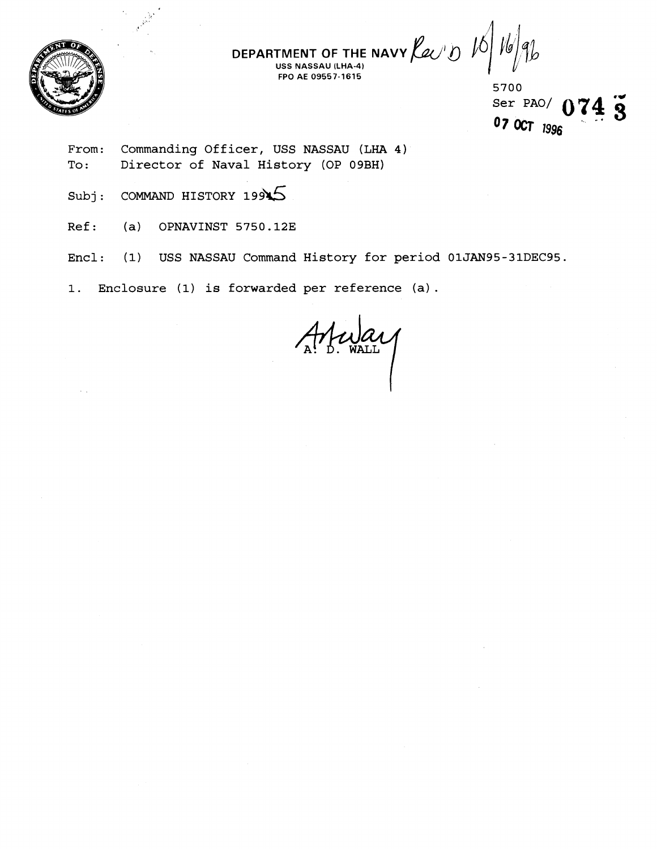

**DEPARTMENT OF THE NAVY**  $\overline{\mathcal{L}}$ **FPO AE 09557-1615** 

5700 Ser PAO/ 074 3 07 OCT 1996

- **From: Commanding Officer, USS NASSAU (LHA 4) To** : **Director of Naval History (OP 09BH)**
- Subj: **COMMAND HISTORY 19945**
- **Ref** : **(a) OPNAVINST 5750.123**
- **Encl: (1) USS NASSAU Command History for period 01JAN95-31DEC95.**

**1. Enclosure (1) is forwarded per reference (a)** .

A Meyay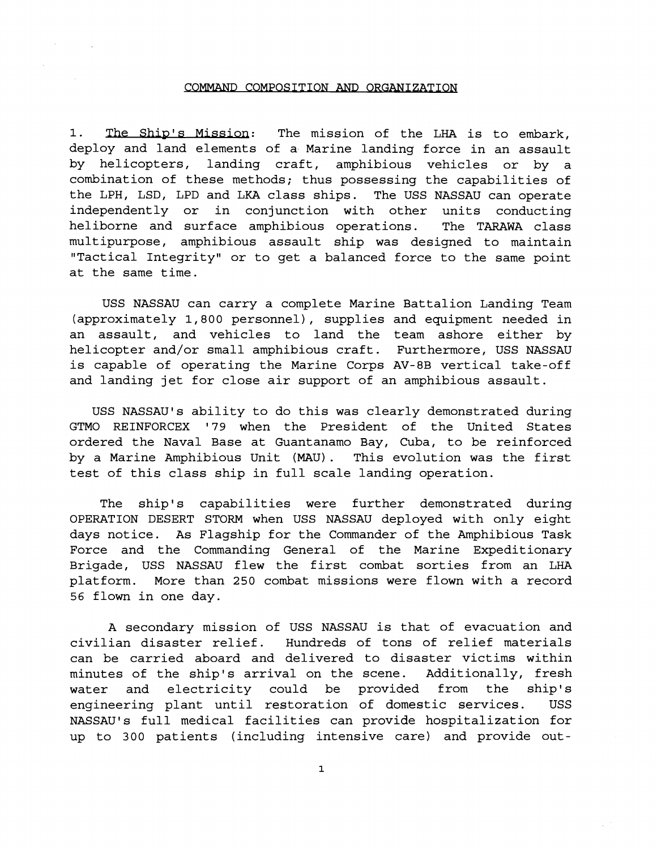#### COMMAND COMPOSITION AND ORGANIZATION

1. The Ship's Mission: The mission of the LHA is to embark, deploy and land elements of a. Marine landing force in an assault by helicopters, landing craft, amphibious vehicles or by a combination of these methods; thus possessing the capabilities of the LPH, LSD, LPD and LKA class ships. The USS NASSAU can operate independently or in conjunction with other units conducting heliborne and surface amphibious operations. The TARAWA class multipurpose, amphibious assault ship was designed to maintain "Tactical Integrity" or to get a balanced force to the same point at the same time.

USS NASSAU can carry a complete Marine Battalion Landing Team (approximately 1,800 personnel), supplies and equipment needed in an assault, and vehicles to land the team ashore either by helicopter and/or small amphibious craft. Furthermore, USS NASSAU is capable of operating the Marine Corps AV-8B vertical take-off and landing jet for close air support of an amphibious assault.

USS NASSAU'S ability to do this was clearly demonstrated during GTMO REINFORCEX I79 when the President of the United States ordered the Naval Base at Guantanamo Bay, Cuba, to be reinforced by a Marine Amphibious Unit (MAU) . This evolution was the first test of this class ship in full scale landing operation.

The ship's capabilities were further demonstrated during OPERATION DESERT STORM when USS NASSAU deployed with only eight days notice. As Flagship for the Commander of the Amphibious Task Force and the Commanding General of the Marine Expeditionary Brigade, USS NASSAU flew the first combat sorties from an LHA platform. More than 250 combat missions were flown with a record 56 flown in one day.

A secondary mission of USS NASSAU is that of evacuation and civilian disaster relief. Hundreds of tons of relief materials can be carried aboard and delivered to disaster victims within minutes of the ship's arrival on the scene. Additionally, fresh water and electricity could be provided from the ship's engineering plant until restoration of domestic services. USS NASSAU's full medical facilities can provide hospitalization for up to 300 patients (including intensive care) and provide out-

 $\mathbf{1}$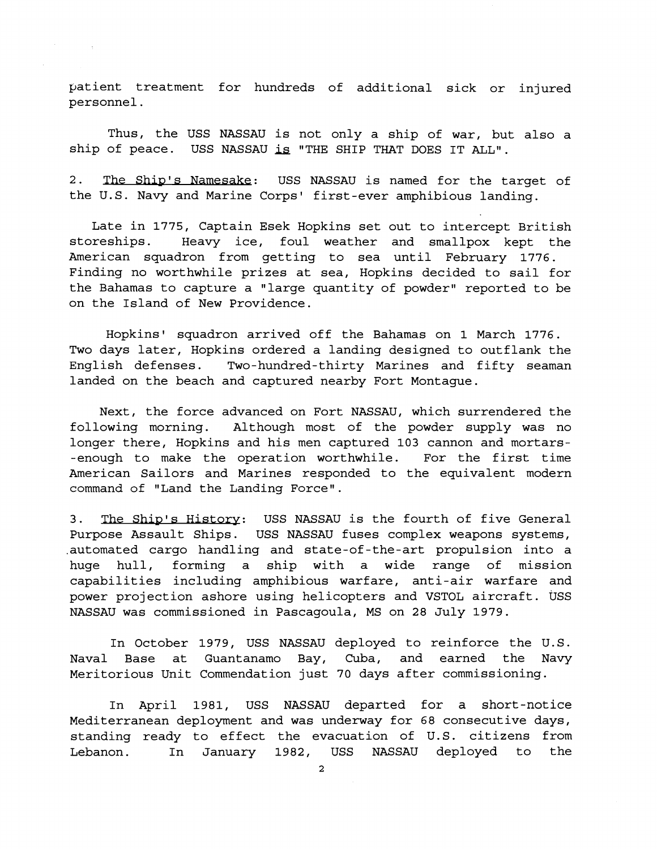patient treatment for hundreds of additional sick or injured personnel.

Thus, the USS NASSAU is not only a ship of war, but also a ship of peace. USS NASSAU is "THE SHIP THAT DOES IT ALL".

2. The Ship's Namesake: USS NASSAU is named for the target of the U.S. Navy and Marine Corps' first-ever amphibious landing.

Late in 1775, Captain Esek Hopkins set out to intercept British storeships. Heavy ice, foul weather and smallpox kept the American squadron from getting to sea until February 1776. Finding no worthwhile prizes at sea, Hopkins decided to sail for the Bahamas to capture a "large quantity of powder" reported to be on the Island of New Providence.

Hopkins' squadron arrived off the Bahamas on 1 March 1776. Two days later, Hopkins ordered a landing designed to outflank the English defenses. Two-hundred-thirty Marines and fifty seaman landed on the beach and captured nearby Fort Montague.

Next, the force advanced on Fort NASSAU, which surrendered the following morning. Although most of the powder supply was no longer there, Hopkins and his men captured 103 cannon and mortars- -enough to make the operation worthwhile. For the first time American Sailors and Marines responded to the equivalent modern command of "Land the Landing Force".

3. The Ship's History: USS NASSAU is the fourth of five General Purpose Assault Ships. USS NASSAU fuses complex weapons systems, .automated cargo handling and state-of-the-art propulsion into a huge hull, forming a ship with a wide range of mission capabilities including amphibious warfare, anti-air warfare and power projection ashore using helicopters and VSTOL aircraft. USS NASSAU was commissioned in Pascagoula, MS on 28 July 1979.

In October 1979, USS NASSAU deployed to reinforce the U.S. Naval Base at Guantanamo Bay, Cuba, and earned the Navy Meritorious Unit Commendation just 70 days after commissioning.

In April 1981, USS NASSAU departed for a short-notice Mediterranean deployment and was underway for 68 consecutive days, standing ready to effect the evacuation of U.S. citizens from Lebanon. In January 1982, USS NASSAU deployed to the

**2**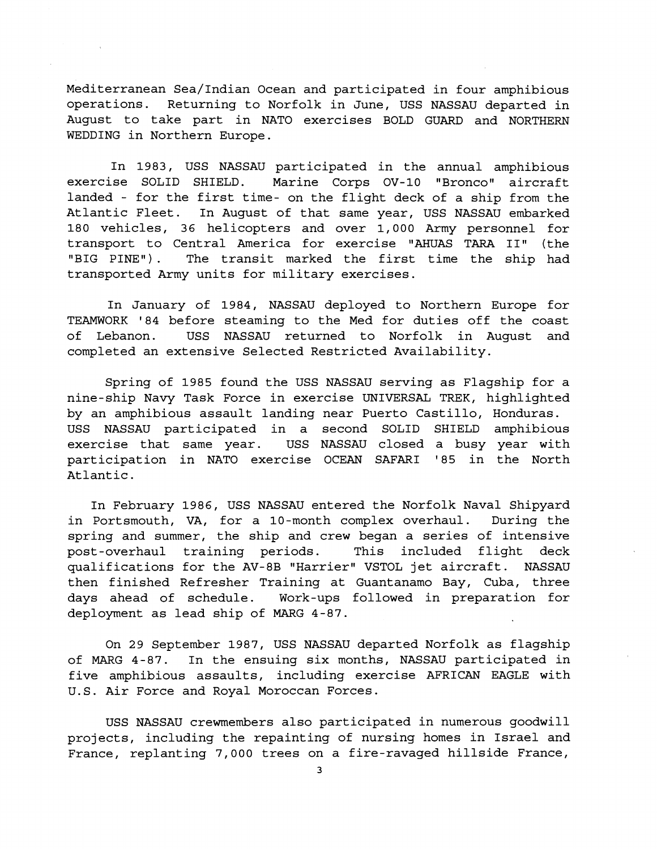Mediterranean Sea/Indian Ocean and participated in four amphibious operations. Returning to Norfolk in June, USS NASSAU departed in August to take part in NATO exercises BOLD GUARD and NORTHERN WEDDING in Northern Europe.

In 1983, USS NASSAU participated in the annual amphibious exercise SOLID SHIELD. Marine Corps OV-10 "Bronco" aircraft landed - for the first time- on the flight deck of a ship from the Atlantic Fleet. In August of that same year, USS NASSAU embarked 180 vehicles, 36 helicopters and over 1,000 Army personnel for transport to Central America for exercise "AHUAS TARA 11" (the "BIG PINE"). The transit marked the first time the ship had transported Army units for military exercises.

In January of 1984, NASSAU deployed to Northern Europe for TEAMWORK '84 before steaming to the Med for duties off the coast of Lebanon. USS NASSAU returned to Norfolk in August and completed an extensive Selected Restricted Availability.

Spring of 1985 found the USS NASSAU serving as Flagship for a nine-ship Navy Task Force in exercise UNIVERSAL TREK, highlighted by an amphibious assault landing near Puerto Castillo, Honduras. USS NASSAU participated in a second SOLID SHIELD amphibious exercise that same year. USS NASSAU closed a busy year with participation in NATO exercise OCEAN SAFARI '85 in the North Atlantic.

In February 1986, USS NASSAU entered the Norfolk Naval Shipyard in Portsmouth, VA, for a 10-month complex overhaul. During the spring and summer, the ship and crew began a series of intensive post-overhaul training periods. This included flight deck qualifications for the AV-8B "Harrier" VSTOL jet aircraft. NASSAU then finished Refresher Training at Guantanamo Bay, Cuba, three days ahead of schedule. Work-ups followed in preparation for deployment as lead ship of MARG 4-87.

On 29 September 1987, USS NASSAU departed Norfolk as flagship of MARG 4-87. In the ensuing six months, NASSAU participated in five amphibious assaults, including exercise AFRICAN EAGLE with U.S. Air Force and Royal Moroccan Forces.

USS NASSAU crewmembers also participated in numerous goodwill projects, including the repainting of nursing homes in Israel and France, replanting 7,000 trees on a fire-ravaged hillside France,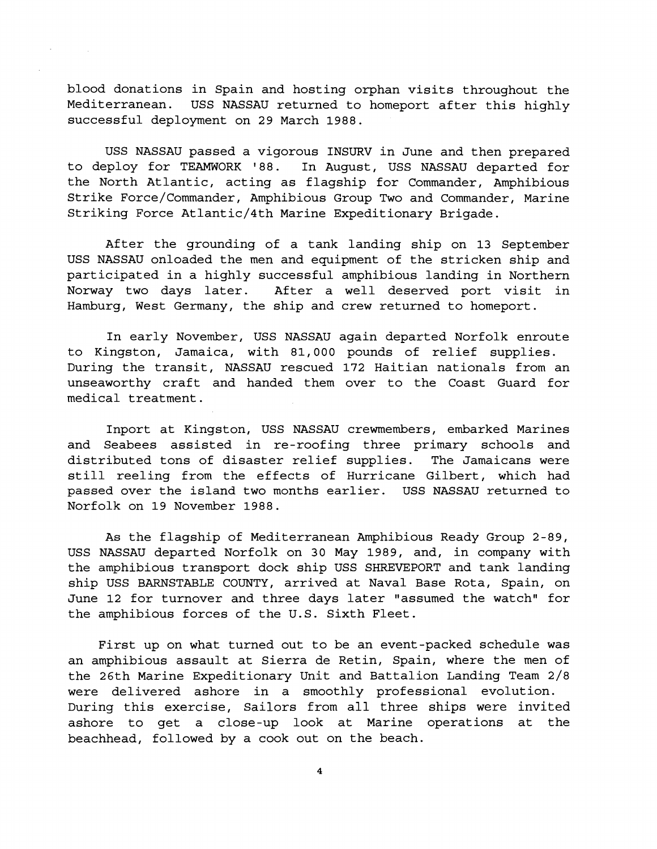blood donations in Spain and hosting orphan visits throughout the Mediterranean. USS NASSAU returned to homeport after this highly successful deployment on 29 March 1988.

USS NASSAU passed a vigorous INSURV in June and then prepared to deploy for TEAMWORK '88. In August, USS NASSAU departed for the North Atlantic, acting as flagship for Commander, Amphibious Strike Force/Commander, Amphibious Group Two and Commander, Marine Striking Force Atlantic/4th Marine Expeditionary Brigade.

After the grounding of a tank landing ship on 13 September USS NASSAU onloaded the men and equipment of the stricken ship and participated in a highly successful amphibious landing in Northern Norway two days later. After a well deserved port visit in Hamburg, West Germany, the ship and crew returned to homeport.

In early November, USS NASSAU again departed Norfolk enroute to Kingston, Jamaica, with 81,000 pounds of relief supplies. During the transit, NASSAU rescued 172 Haitian nationals from an unseaworthy craft and handed them over to the Coast Guard for medical treatment.

Inport at Kingston, USS NASSAU crewmembers, embarked Marines and Seabees assisted in re-roofing three primary schools and distributed tons of disaster relief supplies. The Jamaicans were still reeling from the effects of Hurricane Gilbert, which had passed over the island two months earlier. USS NASSAU returned to Norfolk on 19 November 1988.

As the flagship of Mediterranean Amphibious Ready Group 2-89, USS NASSAU departed Norfolk on 30 May 1989, and, in company with the amphibious transport dock ship USS SHREVEPORT and tank landing ship USS BARNSTABLE COUNTY, arrived at Naval Base Rota, Spain, on June 12 for turnover and three days later "assumed the watch" for the amphibious forces of the U.S. Sixth Fleet.

First up on what turned out to be an event-packed schedule was an amphibious assault at Sierra de Retin, Spain, where the men of the 26th Marine Expeditionary Unit and Battalion Landing Team 2/8 were delivered ashore in a smoothly professional evolution. During this exercise, Sailors from all three ships were invited ashore to get a close-up look at Marine operations at the beachhead, followed by a cook out on the beach.

 $\overline{\mathbf{4}}$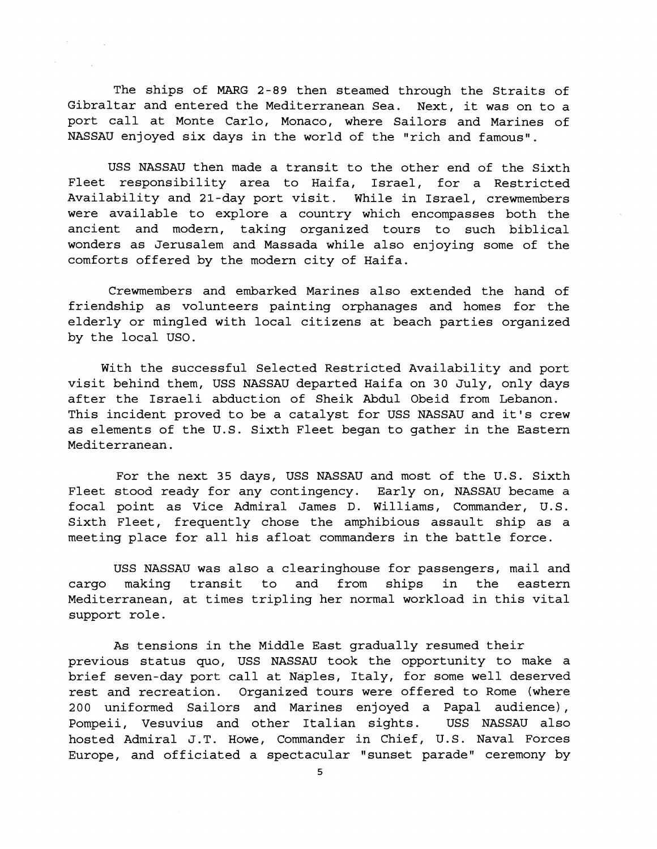The ships of MARG 2-89 then steamed through the Straits of Gibraltar and entered the Mediterranean Sea. Next, it was on to a port call at Monte Carlo, Monaco, where Sailors and Marines of NASSAU enjoyed six days in the world of the "rich and famous".

USS NASSAU then made a transit to the other end of the Sixth Fleet responsibility area to Haifa, Israel, for a Restricted Availability and 21-day port visit. While in Israel, crewmembers were available to explore a country which encompasses both the ancient and modern, taking organized tours to such biblical wonders as Jerusalem and Massada while also enjoying some of the comforts offered by the modern city of Haifa.

Crewmembers and embarked Marines also extended the hand of friendship as volunteers painting orphanages and homes for the elderly or mingled with local citizens at beach parties organized by the local USO.

With the successful Selected Restricted Availability and port visit behind them, USS NASSAU departed Haifa on 30 July, only days after the Israeli abduction of Sheik Abdul Obeid from Lebanon. This incident proved to be a catalyst for USS NASSAU and it's crew as elements of the U.S. Sixth Fleet began to gather in the Eastern Mediterranean.

For the next 35 days, USS NASSAU and most of the U.S. Sixth Fleet stood ready for any contingency. Early on, NASSAU became a focal point as Vice Admiral James D. Williams, Commander, U.S. Sixth Fleet, frequently chose the amphibious assault ship as a meeting place for all his afloat commanders in the battle force.

USS NASSAU was also a clearinghouse for passengers, mail and cargo making transit to and from ships in the eastern Mediterranean, at times tripling her normal workload in this vital support role.

As tensions in the Middle East gradually resumed their previous status quo, USS NASSAU took the opportunity to make a brief seven-day port call at Naples, Italy, for some well deserved rest and recreation. Organized tours were offered to Rome (where 200 uniformed Sailors and Marines enjoyed a Papal audience), Pompeii, Vesuvius and other Italian sights. USS NASSAU also hosted Admiral J.T. Howe, Commander in Chief, U.S. Naval Forces Europe, and officiated a spectacular "sunset parade" ceremony by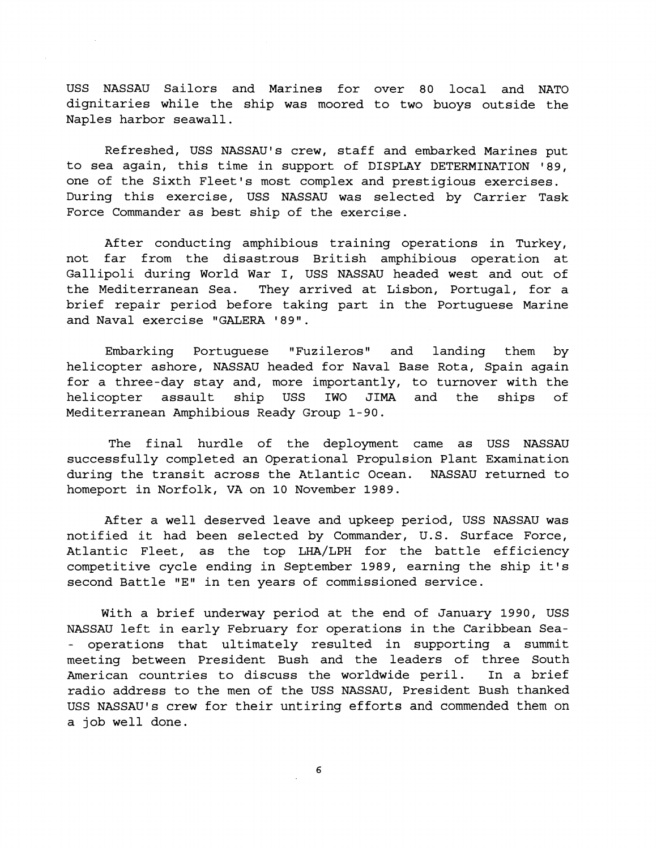USS NASSAU Sailors and Marines for over 80 local and NATO dignitaries while the ship was moored to two buoys outside the Naples harbor seawall.

Refreshed, USS NASSAU's crew, staff and embarked Marines put to sea again, this time in support of DISPLAY DETERMINATION '89, one of the Sixth Fleet's most complex and prestigious exercises. During this exercise, USS NASSAU was selected by Carrier Task Force Commander as best ship of the exercise.

After conducting amphibious training operations in Turkey, not far from the disastrous British amphibious operation at Gallipoli during World War I, USS NASSAU headed west and out of the Mediterranean Sea. They arrived at Lisbon, Portugal, for a brief repair period before taking part in the Portuguese Marine and Naval exercise "GALERA '89".

Embarking Portuguese "Fuzileros" and landing them by helicopter ashore, NASSAU headed for Naval Base Rota, Spain again for a three-day stay and, more importantly, to turnover with the helicopter assault ship USS IWO JIMA and the ships of Mediterranean Amphibious Ready Group 1-90.

The final hurdle of the deployment came as USS NASSAU successfully completed an Operational Propulsion Plant Examination during the transit across the Atlantic Ocean. NASSAU returned to homeport in Norfolk, VA on 10 November 1989.

After a well deserved leave and upkeep period, USS NASSAU was notified it had been selected by Commander, U.S. Surface Force, Atlantic Fleet, as the top LHA/LPH for the battle efficiency competitive cycle ending in September 1989, earning the ship it's second Battle "E" in ten years of commissioned service.

With a brief underway period at the end of January 1990, USS NASSAU left in early February for operations in the Caribbean Sea- - operations that ultimately resulted in supporting a summit meeting between President Bush and the leaders of three South American countries to discuss the worldwide peril. In a brief radio address to the men of the USS NASSAU, President Bush thanked USS NASSAU's crew for their untiring efforts and commended them on a job well done.

6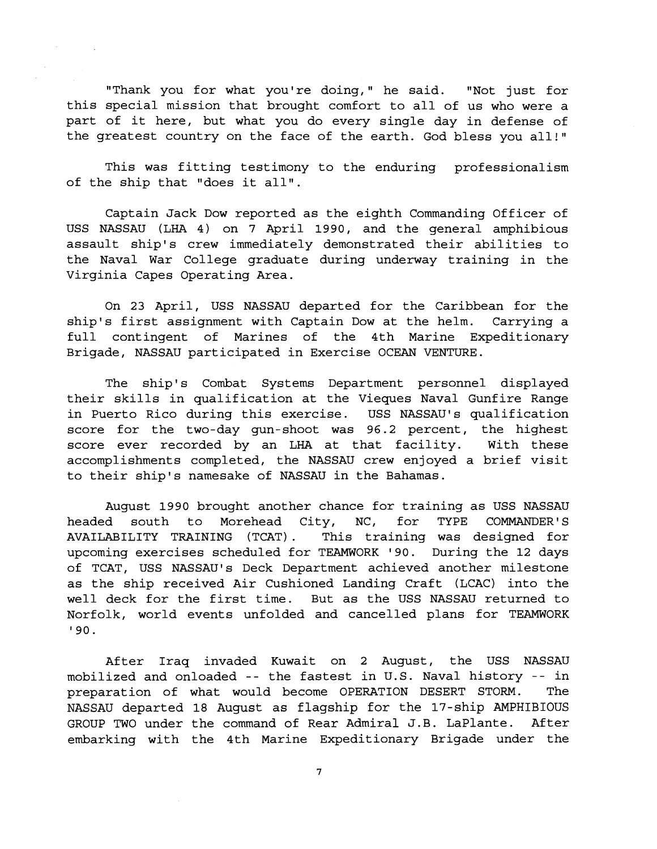"Thank you for what you're doing," he said. "Not just for this special mission that brought comfort to all of us who were a part of it here, but what you do every single day in defense of the greatest country on the face of the earth. God bless you all!"

This was fitting testimony to the enduring professionalism of the ship that "does it all".

Captain Jack Dow reported as the eighth Commanding Officer of USS NASSAU (LHA 4) on 7 April 1990, and the general amphibious assault ship's crew immediately demonstrated their abilities to the Naval War College graduate during underway training in the Virginia Capes Operating Area.

On 23 April, USS NASSAU departed for the Caribbean for the ship's first assignment with Captain Dow at the helm. Carrying a full contingent of Marines of the 4th Marine Expeditionary Brigade, NASSAU participated in Exercise OCEAN VENTURE.

The ship's Combat Systems Department personnel displayed their skills in qualification at the Vieques Naval Gunfire Range in Puerto Rico during this exercise. USS NASSAU'S qualification score for the two-day gun-shoot was 96.2 percent, the highest score ever recorded by an LHA at that facility. With these accomplishments completed, the NASSAU crew enjoyed a brief visit to their ship's namesake of NASSAU in the Bahamas.

August 1990 brought another chance for training as USS NASSAU headed south to Morehead City, NC, for TYPE COMMANDER'S AVAILABILITY TRAINING (TCAT) . This training was designed for upcoming exercises scheduled for TEAMWORK '90. During the 12 days of TCAT, USS NASSAU'S Deck Department achieved another milestone as the ship received Air Cushioned Landing Craft (LCAC) into the well deck for the first time. But as the USS NASSAU returned to Norfolk, world events unfolded and cancelled plans for TEAMWORK ' 90.

After Iraq invaded Kuwait on 2 August, the USS NASSAU mobilized and onloaded -- the fastest in U.S. Naval history -- in preparation of what would become OPERATION DESERT STORM. The NASSAU departed 18 August as flagship for the 17-ship AMPHIBIOUS GROUP TWO under the command of Rear Admiral J.B. LaPlante. After embarking with the 4th Marine Expeditionary Brigade under the

 $\overline{\mathbf{7}}$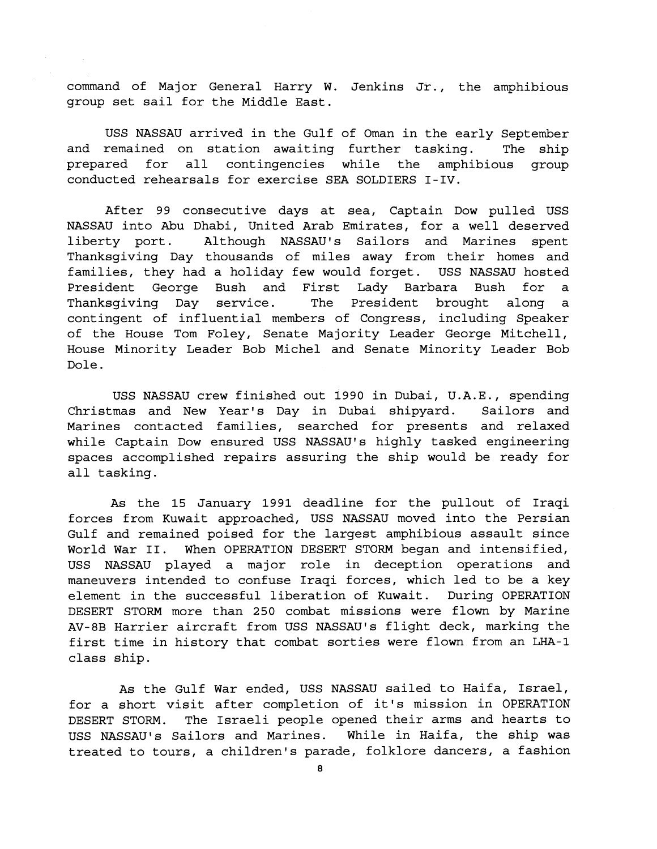command of Major General Harry W. Jenkins Jr., the amphibious group set sail for the Middle East.

USS NASSAU arrived in the Gulf of Oman in the early September and remained on station awaiting further tasking. The ship prepared for all contingencies while the amphibious group conducted rehearsals for exercise SEA SOLDIERS I-IV.

After **99** consecutive days at sea, Captain Dow pulled USS NASSAU into Abu Dhabi, United Arab Emirates, for a well deserved liberty port. Although NASSAU'S Sailors and Marines spent Thanksgiving Day thousands of miles away from their homes and families, they had a holiday few would forget. USS NASSAU hosted President George Bush and First Lady Barbara Bush for a Thanksgiving Day service. The President brought along a contingent of influential members of Congress, including Speaker of the House Tom Foley, Senate Majority Leader George Mitchell, House Minority Leader Bob Michel and Senate Minority Leader Bob Dole.

USS NASSAU crew finished out **i990** in Dubai, U.A.E., spending Christmas and New Year's Day in Dubai shipyard. Sailors and Marines contacted families, searched for presents and relaxed while Captain Dow ensured USS NASSAU'S highly tasked engineering spaces accomplished repairs assuring the ship would be ready for all tasking.

As the **15** January **1991** deadline for the pullout of Iraqi forces from Kuwait approached, USS NASSAU moved into the Persian Gulf and remained poised for the largest amphibious assault since World War 11. When OPERATION DESERT STORM began and intensified, USS NASSAU played a major role in deception operations and maneuvers intended to confuse Iraqi forces, which led to be a key element in the successful liberation of Kuwait. During OPERATION DESERT STORM more than **250** combat missions were flown by Marine AV-8B Harrier aircraft from USS NASSAU'S flight deck, marking the first time in history that combat sorties were flown from an LHA-1 class ship.

As the Gulf War ended, USS NASSAU sailed to Haifa, Israel, for a short visit after completion of it's mission in OPERATION DESERT STORM. The Israeli people opened their arms and hearts to USS NASSAU'S Sailors and Marines. While in Haifa, the ship was treated to tours, a children's parade, folklore dancers, a fashion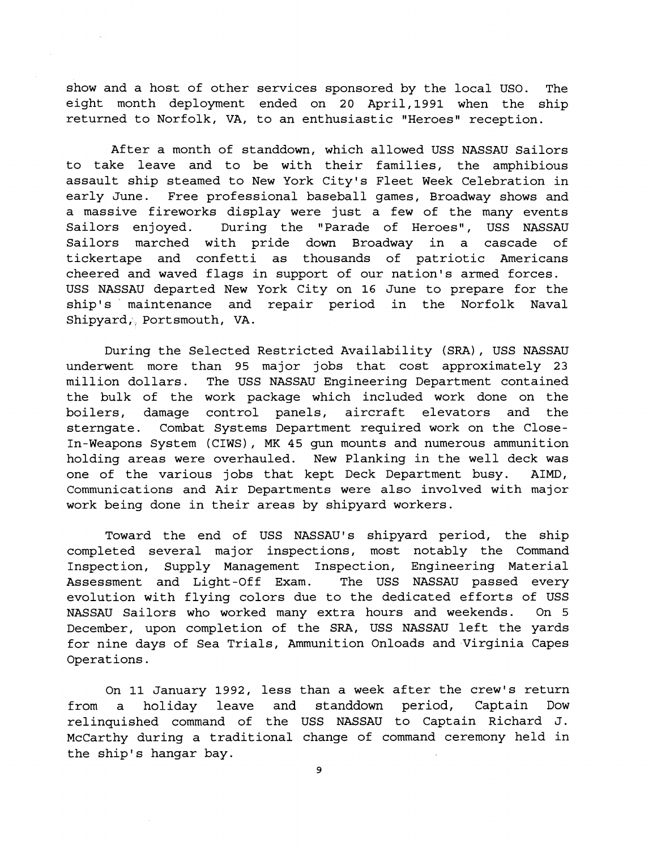show and a host of other services sponsored by the local USO. The eight month deployment ended on 20 April, 1991 when the ship returned to Norfolk, VA, to an enthusiastic "Heroes" reception.

After a month of standdown, which allowed USS NASSAU Sailors to take leave and to be with their families, the amphibious assault ship steamed to New York City's Fleet Week Celebration in early June. Free professional baseball games, Broadway shows and a massive fireworks display were just a few of the many events Sailors enjoyed. During the "Parade of Heroes", USS NASSAU Sailors marched with pride down Broadway in a cascade of tickertape and confetti as thousands of patriotic Americans cheered and waved flags in support of our nation's armed forces. USS NASSAU departed New York City on 16 June to prepare for the ship's maintenance and repair period in the Norfolk Naval Shipyard,, Portsmouth, VA.

During the Selected Restricted Availability (SRA), USS NASSAU underwent more than 95 major jobs that cost approximately 23 million dollars. The USS NASSAU Engineering Department contained the bulk of the work package which included work done on the boilers, damage control panels, aircraft elevators and the sterngate. Combat Systems Department required work on the Close-In-Weapons System (CIWS), MK 45 gun mounts and numerous ammunition holding areas were overhauled. New Planking in the well deck was one of the various jobs that kept Deck Department busy. AIMD, Communications and Air Departments were also involved with major work being done in their areas by shipyard workers.

Toward the end of USS NASSAU'S shipyard period, the ship completed several major inspections, most notably the Command Inspection, Supply Management Inspection, Engineering Material Assessment and Light-Off Exam. The USS NASSAU passed every evolution with flying colors due to the dedicated efforts of USS NASSAU Sailors who worked many extra hours and weekends. On 5 December, upon completion of the SRA, USS NASSAU left the yards for nine days of Sea Trials, Ammunition Onloads and.Virginia Capes Operations.

On 11 January 1992, less than a week after the crew's return from a holiday leave and standdown period, Captain Dow relinquished command of the USS NASSAU to Captain Richard J. McCarthy during a traditional change of command ceremony held in the ship's hangar bay.

**9**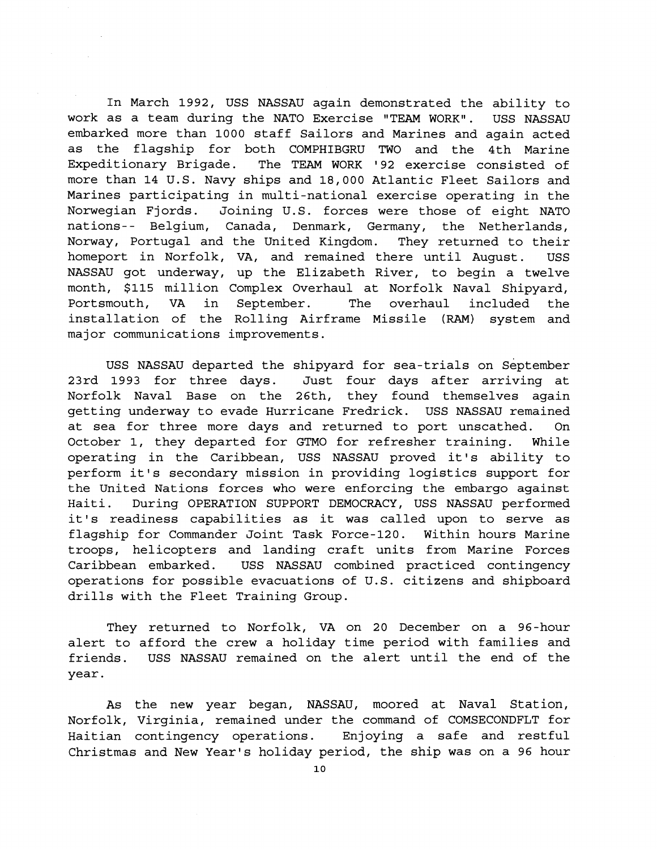In March 1992, USS NASSAU again demonstrated the ability to work as a team during the NATO Exercise "TEAM WORK". USS NASSAU embarked more than 1000 staff Sailors and Marines and again acted as the flagship for both COMPHIBGRU TWO and the 4th Marine Expeditionary Brigade. The TEAM WORK '92 exercise consisted of more than 14 U.S. Navy ships and 18,000 Atlantic Fleet Sailors and Marines participating in multi-national exercise operating in the Norwegian Fjords. Joining U.S. forces were those of eight NATO nations-- Belgium, Canada, Denmark, Germany, the Netherlands, Norway, Portugal and the United Kingdom. They returned to their homeport in Norfolk, VA, and remained there until August. USS NASSAU got underway, up the Elizabeth River, to begin a twelve month, \$115 million Complex Overhaul at Norfolk Naval Shipyard, Portsmouth, VA in September. The overhaul included the installation of the Rolling Airframe Missile (RAM) system and major communications improvements.

USS NASSAU departed the shipyard for sea-trials on September 23rd 1993 for three days. Just four days after arriving at Norfolk Naval Base on the 26th, they found themselves again getting underway to evade Hurricane Fredrick. USS NASSAU remained at sea for three more days and returned to port unscathed. On October 1, they departed for GTMO for refresher training. While operating in the Caribbean, USS NASSAU proved it's ability to perform it's secondary mission in providing logistics support for the United Nations forces who were enforcing the embargo against Haiti. During OPERATION SUPPORT DEMOCRACY, USS NASSAU performed it's readiness capabilities as it was called upon to serve as flagship for Commander Joint Task Force-120. Within hours Marine troops, helicopters and landing craft units from Marine Forces Caribbean embarked. USS NASSAU combined practiced contingency operations for possible evacuations of U.S. citizens and shipboard drills with the Fleet Training Group.

They returned to Norfolk, VA on 20 December on a 96-hour alert to afford the crew a holiday time period with families and friends. USS NASSAU remained on the alert until the end of the year.

As the new year began, NASSAU, moored at Naval Station, Norfolk, Virginia, remained under the command of COMSECONDFLT for Haitian contingency operations. Enjoying a safe and restful Christmas and New Year's holiday period, the ship was on a 96 hour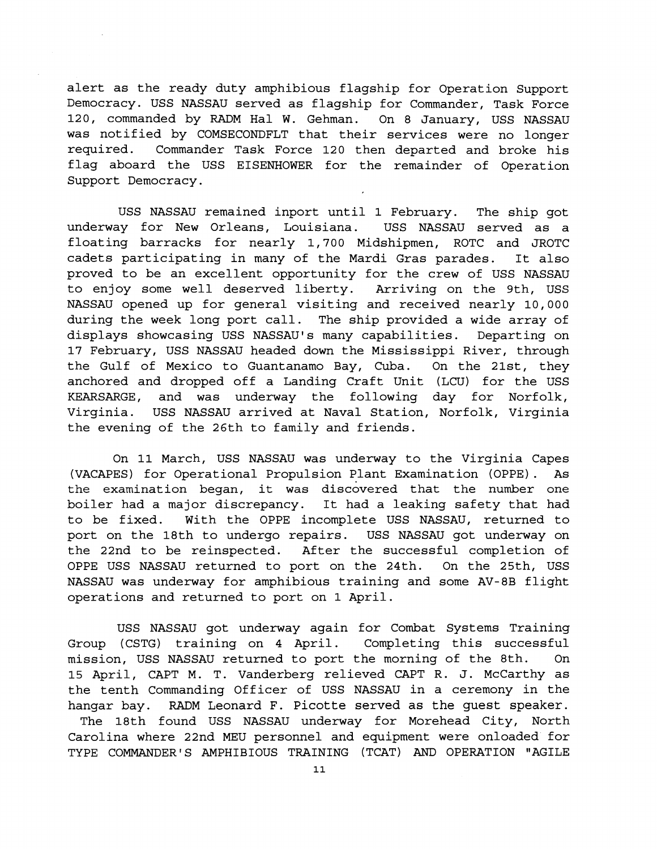alert as the ready duty amphibious flagship for Operation Support Democracy. USS NASSAU served as flagship for Commander, Task Force 120, commanded by RADM Hal W. Gehman. On 8 January, USS NASSAU was notified by COMSECONDFLT that their services were no longer required. Commander Task Force 120 then departed and broke his flag aboard the USS EISENHOWER for the remainder of Operation Support Democracy.

USS NASSAU remained inport until 1 February. The ship got underway for New Orleans, Louisiana. USS NASSAU served as a floating barracks for nearly 1,700 Midshipmen, ROTC and JROTC cadets participating in many of the Mardi Gras parades. It also proved to be an excellent opportunity for the crew of USS NASSAU to enjoy some well deserved liberty. Arriving on the 9th, USS NASSAU opened up for general visiting and received nearly 10,000 during the week long port call. The ship provided a wide array of displays showcasing USS NASSAU'S many capabilities. Departing on 17 February, USS NASSAU headed down the Mississippi River, through the Gulf of Mexico to Guantanamo Bay, Cuba. On the 21st, they anchored and dropped off a Landing Craft Unit (LCU) for the USS KEARSARGE, and was underway the following day for Norfolk, Virginia. USS NASSAU arrived at Naval Station, Norfolk, Virginia the evening of the 26th to family and friends.

On 11 March, USS NASSAU was underway to the Virginia Capes (VACAPES) for Operational Propulsion Plant Examination (OPPE). As the examination began, it was discovered that the number one boiler had a major discrepancy. It had a leaking safety that had to be fixed. With the OPPE incomplete USS NASSAU, returned to port on the 18th to undergo repairs. USS NASSAU got underway on the 22nd to be reinspected. After the successful completion of OPPE USS NASSAU returned to port on the 24th. On the 25th, USS NASSAU was underway for amphibious training and some AV-8B flight operations and returned to port on 1 April.

USS NASSAU got underway again for Combat Systems Training Group (CSTG) training on 4 April. Completing this successful mission, USS NASSAU returned to port the morning of the 8th. On 15 April, CAPT M. T. Vanderberg relieved CAPT R. J. McCarthy as the tenth Commanding Officer of USS NASSAU in a ceremony in the hangar bay. RADM Leonard F. Picotte served as the guest speaker.

The 18th found USS NASSAU underway for Morehead City, North Carolina where 22nd MEU personnel and equipment were onloaded for TYPE COMMANDER'S AMPHIBIOUS TRAINING (TCAT) AND OPERATION "AGILE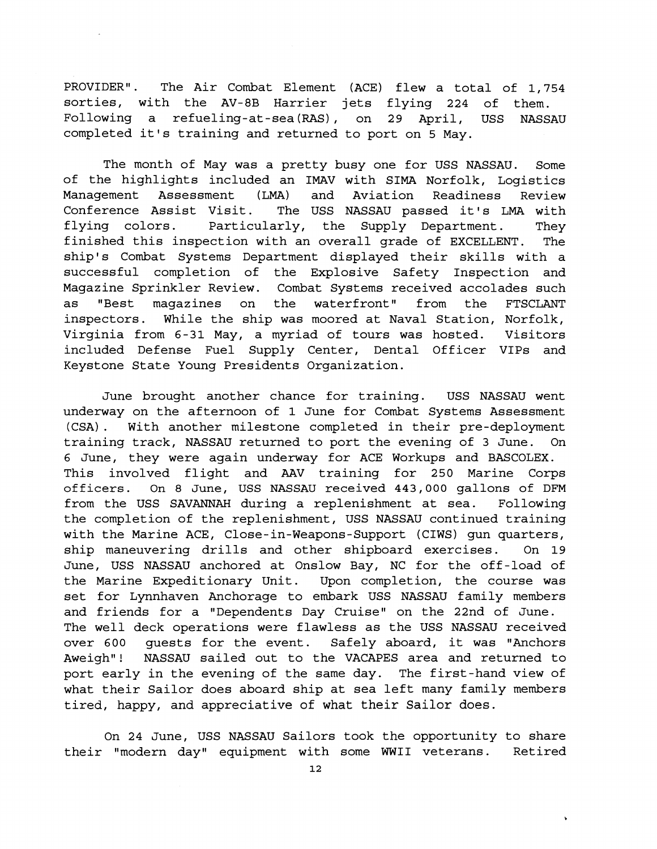PROVIDER". The Air Combat Element (ACE) flew a total of 1,754 sorties, with the AV-8B Harrier jets flying 224 of them. Following a refueling-at-sea(RAS), on 29 April, USS NASSAU completed it's training and returned to port on 5 May.

The month of May was a pretty busy one for USS NASSAU. Some of the highlights included an IMAV with SIMA Norfolk, Logistics Management Assessment **(LMA)** and Aviation Readiness Review Conference Assist Visit. The USS NASSAU passed it's LMA with flying colors. Particularly, the Supply Department. They finished this inspection with an overall grade of EXCELLENT. The ship's Combat Systems Department displayed their skills with a successful completion of the Explosive Safety Inspection and Magazine Sprinkler Review. Combat Systems received accolades such as "Best magazines on the waterfront" from the FTSCLANT inspectors. While the ship was moored at Naval Station, Norfolk, Virginia from 6-31 May, a myriad of tours was hosted. Visitors included Defense Fuel Supply Center, Dental Officer VIPs and Keystone State Young Presidents Organization.

June brought another chance for training. USS NASSAU went underway on the afternoon of 1 June for Combat Systems Assessment (CSA) . With another milestone completed in their pre-deployment training track, NASSAU returned to port the evening of 3 June. On 6 June, they were again underway for ACE Workups and BASCOLEX. This involved flight and AAV training for 250 Marine Corps officers. On 8 June, USS NASSAU received 443,000 gallons of DFM from the USS SAVANNAH during a replenishment at sea. Following the completion of the replenishment, USS NASSAU continued training with the Marine ACE, Close-in-Weapons-Support (CIWS) gun quarters, ship maneuvering drills and other shipboard exercises. On 19 June, USS NASSAU anchored at Onslow Bay, NC for the off -load of the Marine Expeditionary Unit. Upon completion, the course was set for Lynnhaven Anchorage to embark USS NASSAU family members and friends for a "Dependents Day Cruise" on the 22nd of June. The well deck operations were flawless as the USS NASSAU received over 600 guests for the event. Safely aboard, it was "Anchors Aweigh"! NASSAU sailed out to the VACAPES area and returned to port early in the evening of the same day. The first-hand view of what their Sailor does aboard ship at sea left many family members tired, happy, and appreciative of what their Sailor does.

On 24 June, USS NASSAU Sailors took the opportunity to share their "modern day" equipment with some WWII veterans. Retired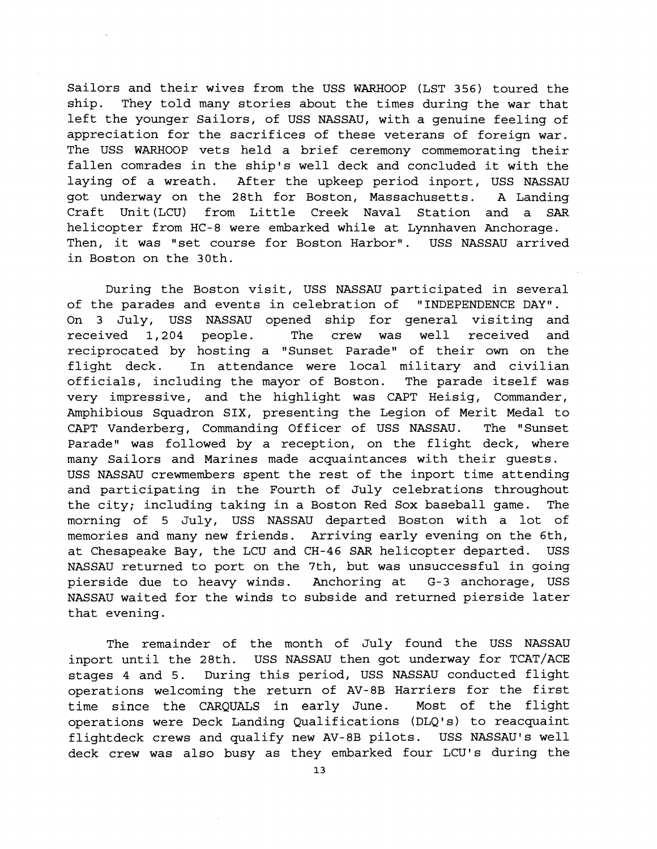Sailors and their wives from the USS WARHOOP (LST 356) toured the ship. They told many stories about the times during the war that left the younger Sailors, of USS NASSAU, with a genuine feeling of appreciation for the sacrifices of these veterans of foreign war. The USS WARHOOP vets held a brief ceremony commemorating their fallen comrades in the ship's well deck and concluded it with the laying of a wreath. After the upkeep period inport, USS NASSAU got underway on the 28th for Boston, Massachusetts. A Landing Craft Unit(LCU) from Little Creek Naval Station and a SAR helicopter from HC-8 were embarked while at Lynnhaven Anchorage. Then, it was "set course for Boston Harbor". USS NASSAU arrived in Boston on the 30th.

During the Boston visit, USS NASSAU participated in several of the parades and events in celebration of "INDEPENDENCE DAY". On 3 July, USS NASSAU opened ship for general visiting and received 1,204 people. The crew was well received and reciprocated by hosting a "Sunset Parade" of their own on the flight deck. In attendance were local military and civilian officials, including the mayor of Boston. The parade itself was very impressive, and the highlight was CAPT Heisig, Commander, Amphibious Squadron SIX, presenting the Legion of Merit Medal to CAPT Vanderberg, Commanding Officer of USS NASSAU. The "Sunset Parade" was followed by a reception, on the flight deck, where many Sailors and Marines made acquaintances with their guests. USS NASSAU crewmembers spent the rest of the inport time attending and participating in the Fourth of July celebrations throughout the city; including taking in a Boston Red Sox baseball game. The morning of 5 July, USS NASSAU departed Boston with a lot of memories and many new friends. Arriving early evening on the 6th, at Chesapeake Bay, the LCU and CH-46 SAR helicopter departed. USS NASSAU returned to port on the 7th, but was unsuccessful in going pierside due to heavy winds. Anchoring at G-3 anchorage, USS NASSAU waited for the winds to subside and returned pierside later that evening.

The remainder of the month of July found the USS NASSAU inport until the 28th. USS NASSAU then got underway for TCAT/ACE stages 4 and 5. During this period, USS NASSAU conducted flight operations welcoming the return of AV-8B Harriers for the first time since the CARQUALS in early June. Most of the flight operations were Deck Landing Qualifications (DLQ1s) to reacquaint flightdeck crews and qualify new AV-8B pilots. USS NASSAU'S well deck crew was also busy as they embarked four LCU's during the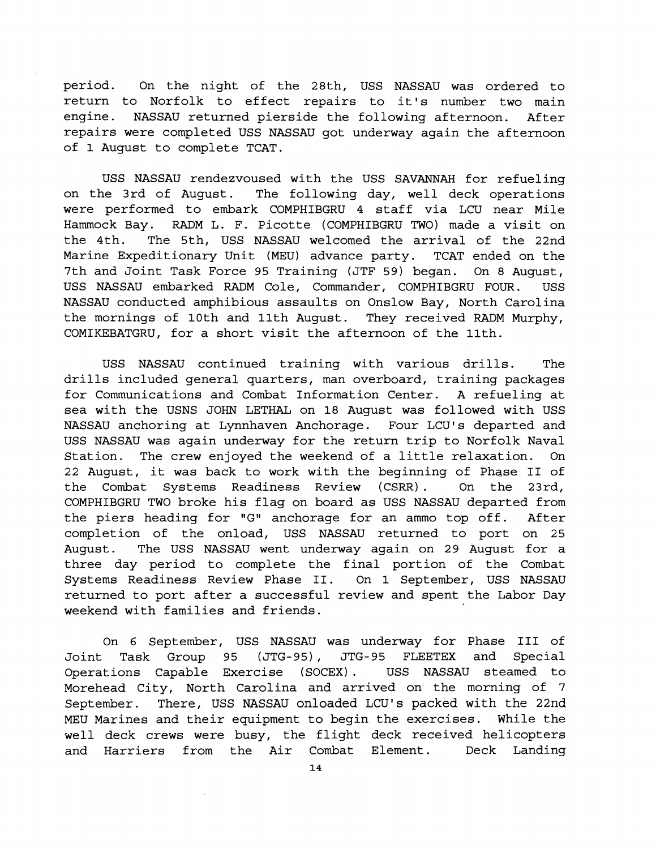period. On the night of the 28th, USS NASSAU was ordered to return to Norfolk to effect repairs to it's number two main engine. NASSAU returned pierside the following afternoon. After repairs were completed USS NASSAU got underway again the afternoon of 1 August to complete TCAT.

USS NASSAU rendezvoused with the USS SAVANNAH for refueling on the 3rd of August. The following day, well deck operations were performed to embark COMPHIBGRU 4 staff via LCU near Mile Hammock Bay. RADM L. F. Picotte (COMPHIBGRU TWO) made a visit on the 4th. The 5th, USS NASSAU welcomed the arrival of the 22nd Marine Expeditionary Unit (MEU) advance party. TCAT ended on the 7th and Joint Task Force 95 Training (JTF 59) began. On 8 August, USS NASSAU embarked RADM Cole, Commander, COMPHIBGRU FOUR. USS NASSAU conducted amphibious assaults on Onslow Bay, North Carolina the mornings of 10th and 11th August. They received RADM Murphy, COMIKEBATGRU, for a short visit the afternoon of the 11th.

USS NASSAU continued training with various drills. The drills included general quarters, man overboard, training packages for Communications and Combat Information Center. A refueling at sea with the USNS JOHN LETHAL on 18 August was followed with USS NASSAU anchoring at Lynnhaven Anchorage. Four LCU's departed and USS NASSAU was again underway for the return trip to Norfolk Naval Station. The crew enjoyed the weekend of a little relaxation. On 22 August, it was back to work with the beginning of Phase I1 of the Combat Systems Readiness Review (CSRR). On the 23rd, COMPHIBGRU TWO broke his flag on board as USS NASSAU departed from the piers heading for "G" anchorage for an ammo top off. After completion of the onload, USS NASSAU returned to port on 25 August. The USS NASSAU went underway again on 29 August for a three day period to complete the final portion of the Combat Systems Readiness Review Phase 11. On 1 September, USS NASSAU returned to port after a successful review and spent the Labor Day weekend with families and friends.

On 6 September, USS NASSAU was underway for Phase I11 of Joint Task Group 95 (JTG-95) , JTG-95 FLEETEX and Special Joint Task Group 95 (JTG-95), JTG-95 FLEETEX and Special<br>Operations Capable Exercise (SOCEX). USS NASSAU steamed to Morehead City, North Carolina and arrived on the morning of 7 September. There, USS NASSAU onloaded **LCU's** packed with the 22nd MEU Marines and their equipment to begin the exercises. While the well deck crews were busy, the flight deck received helicopters and Harriers from the Air Combat Element. Deck Landing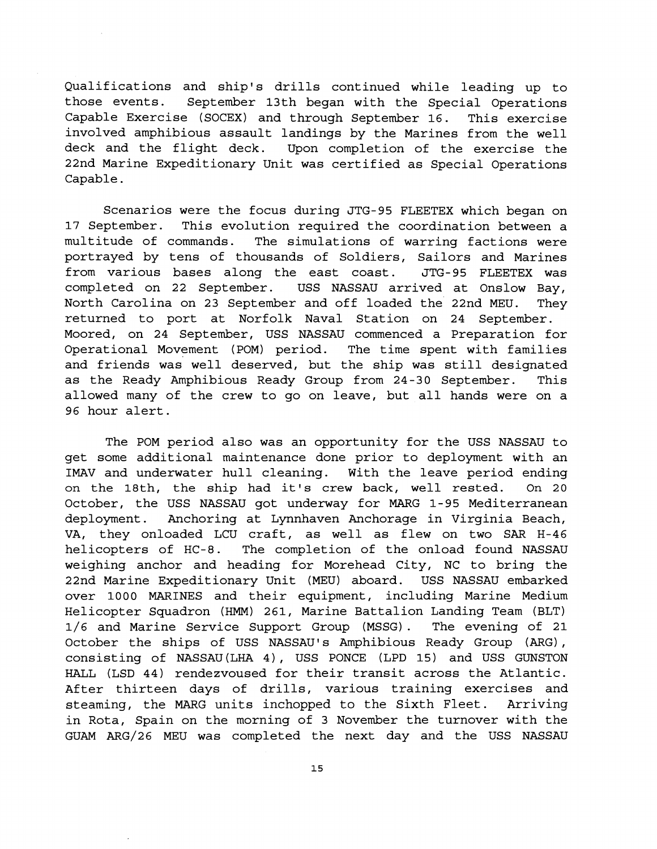Qualifications and ship's drills continued while leading up to those events. September 13th began with the Special Operations Capable Exercise (SOCEX) and through September 16. This exercise involved amphibious assault landings by the Marines from the well deck and the flight deck. Upon completion of the exercise the 22nd Marine Expeditionary Unit was certified as Special Operations Capable.

Scenarios were the focus during JTG-95 FLEETEX which began on 17 September. This evolution required the coordination between a multitude of commands. The simulations of warring factions were portrayed by tens of thousands of Soldiers, Sailors and Marines from various bases along the east coast. JTG-95 FLEETEX was completed on 22 September. USS NASSAU arrived at Onslow Bay, North Carolina on 23 September and off loaded the 22nd MEU. They returned to port at Norfolk Naval Station on 24 September. Moored, on 24 September, USS NASSAU commenced a Preparation for Operational Movement (POM) period. The time spent with families and friends was well deserved, but the ship was still designated as the Ready Amphibious Ready Group from 24-30 September. This allowed many of the crew to go on leave, but all hands were on a 96 hour alert.

The POM period also was an opportunity for the USS NASSAU to get some additional maintenance done prior to deployment with an IMAV and underwater hull cleaning. With the leave period ending on the 18th, the ship had it's crew back, well rested. On 20 October, the USS NASSAU got underway for MARG 1-95 Mediterranean deployment. Anchoring at Lynnhaven Anchorage in Virginia Beach, VA, they onloaded LCU craft, as well as flew on two SAR H-46 helicopters of HC-8. The completion of the onload found NASSAU weighing anchor and heading for Morehead City, NC to bring the 22nd Marine Expeditionary Unit (MEU) aboard. USS NASSAU embarked over 1000 MARINES and their equipment, including Marine Medium Helicopter Squadron (HMM) 261, Marine Battalion Landing Team (BLT) 1/6 and Marine Service Support Group (MSSG) . The evening of 21 October the ships of USS NASSAU'S Amphibious Ready Group (ARG), consisting of NASSAU(LHA 4) , USS PONCE (LPD 15) and USS GUNSTON HALL (LSD 44) rendezvoused for their transit across the Atlantic. After thirteen days of drills, various training exercises and steaming, the MARG units inchopped to the Sixth Fleet. Arriving in Rota, Spain on the morning of 3 November the turnover with the GUAM ARG/26 MEU was completed the next day and the USS NASSAU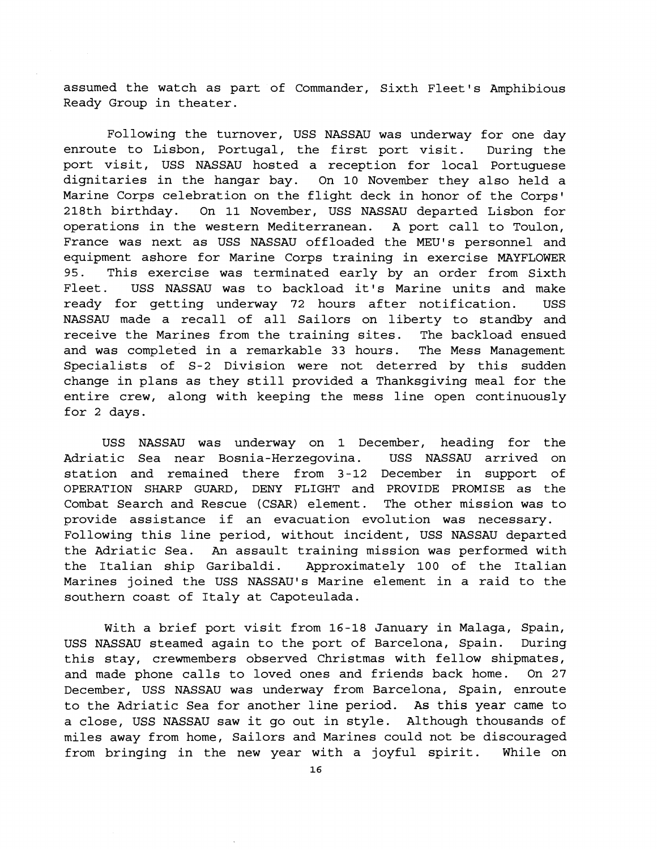assumed the watch as part of Commander, Sixth Fleet's Amphibious Ready Group in theater.

Following the turnover, USS NASSAU was underway for one day enroute to Lisbon, Portugal, the first port visit. During the port visit, USS NASSAU hosted a reception for local Portuguese dignitaries in the hangar bay. On 10 November they also held a Marine Corps celebration on the flight deck in honor of the Corps' 218th birthday. On 11 November, USS NASSAU departed Lisbon for operations in the western Mediterranean. A port call to Toulon, France was next as USS NASSAU offloaded the MEU's personnel and equipment ashore for Marine Corps training in exercise MAYFLOWER 95. This exercise was terminated early by an order from Sixth Fleet. USS NASSAU was to backload it's Marine units and make ready for getting underway 72 hours after notification. USS NASSAU made a recall of all Sailors on liberty to standby and receive the Marines from the training sites. The backload ensued and was completed in a remarkable 33 hours. The Mess Management Specialists of S-2 Division were not deterred by this sudden change in plans as they still provided a Thanksgiving meal for the entire crew, along with keeping the mess line open continuously for 2 days.

USS NASSAU was underway on 1 December, heading for the Adriatic Sea near Bosnia-Herzegovina. USS NASSAU arrived on station and remained there from 3-12 December in support of OPERATION SHARP GUARD, DENY FLIGHT and PROVIDE PROMISE as the Combat Search and Rescue (CSAR) element. The other mission was to provide assistance if an evacuation evolution was necessary. Following this line period, without incident, USS NASSAU departed the Adriatic Sea. An assault training mission was performed with the Italian ship Garibaldi. Approximately 100 of the Italian Marines joined the USS NASSAU'S Marine element in a raid to the southern coast of Italy at Capoteulada.

With a brief port visit from 16-18 January in Malaga, Spain, USS NASSAU steamed again to the port of Barcelona, Spain. During this stay, crewmembers observed Christmas with fellow shipmates, and made phone calls to loved ones and friends back home. On 27 December, USS NASSAU was underway from Barcelona, Spain, enroute to the Adriatic Sea for another line period. As this year came to a close, USS NASSAU saw it go out in style. Although thousands of miles away from home, Sailors and Marines could not be discouraged from bringing in the new year with a joyful spirit. While on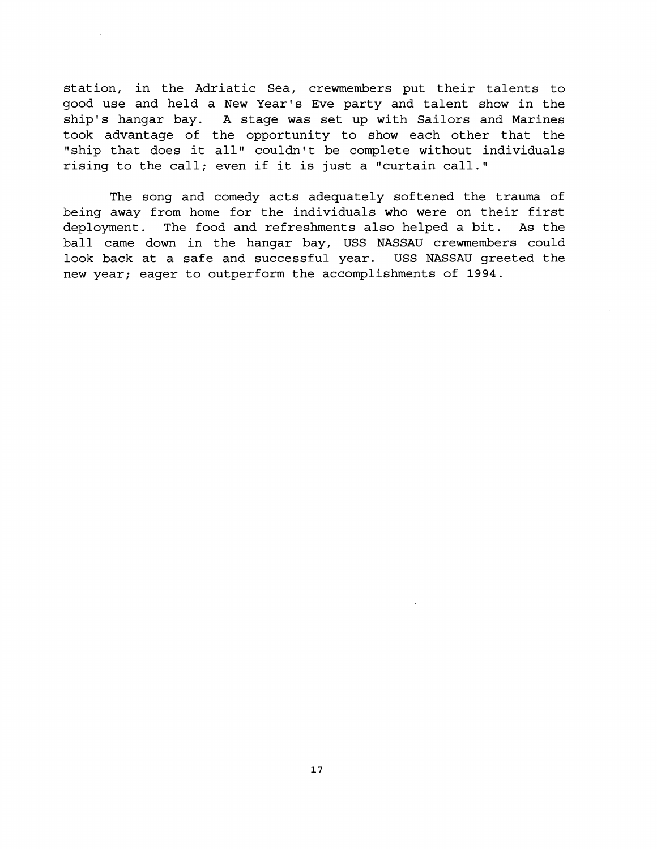station, in the Adriatic Sea, crewmembers put their talents to good use and held a New Year's Eve party and talent show in the ship's hangar bay. A stage was set up with Sailors and Marines took advantage of the opportunity to show each other that the "ship that does it all" couldn't be complete without individuals rising to the call; even if it is just a "curtain call."

The song and comedy acts adequately softened the trauma of being away from home for the individuals who were on their first deployment. The food and refreshments also helped a bit. As the ball came down in the hangar bay, USS NASSAU crewmembers could look back at a safe and successful year. USS NASSAU greeted the new year; eager to outperform the accomplishments of 1994.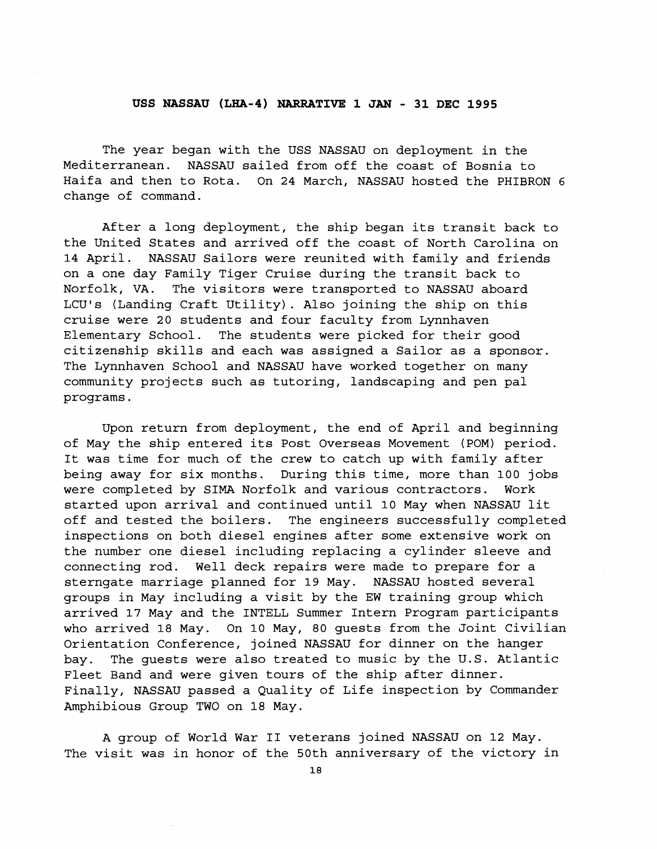#### **USS NASSAU (LHA-4) NARRATIVE 1 JAN** - **31 DEC 1995**

The year began with the USS NASSAU on deployment in the Mediterranean. NASSAU sailed from off the coast of Bosnia to Haifa and then to Rota. On 24 March, NASSAU hosted the PHIBRON 6 change of command.

After a long deployment, the ship began its transit back to the United States and arrived off the coast of North Carolina on 14 April. NASSAU Sailors were reunited with family and friends on a one day Family Tiger Cruise during the transit back to Norfolk, VA. The visitors were transported to NASSAU aboard LCU's (Landing Craft Utility). Also joining the ship on this cruise were 20 students and four faculty from Lynnhaven Elementary School. The students were picked for their good citizenship skills and each was assigned a Sailor as a sponsor. The Lynnhaven School and NASSAU have worked together on many community projects such as tutoring, landscaping and pen pal programs.

Upon return from deployment, the end of April and beginning of May the ship entered its Post Overseas Movement (POM) period. It was time for much of the crew to catch up with family after being away for six months. During this time, more than 100 jobs were completed by SIMA Norfolk and various contractors. Work started upon arrival and continued until 10 May when NASSAU lit off and tested the boilers. The engineers successfully completed inspections on both diesel engines after some extensive work on the number one diesel including replacing a cylinder sleeve and connecting rod. Well deck repairs were made to prepare for a sterngate marriage planned for 19 May. NASSAU hosted several groups in May including a visit by the EW training group which arrived 17 May and the INTELL Summer Intern Program participants who arrived 18 May. On 10 May, 80 guests from the Joint Civilian Orientation Conference, joined NASSAU for dinner on the hanger bay. The guests were also treated to music by the U.S. Atlantic Fleet Band and were given tours of the ship after dinner. Finally, NASSAU passed a Quality of Life inspection by Commander Amphibious Group TWO on 18 May.

A group of World War I1 veterans joined NASSAU on 12 May. The visit was in honor of the 50th anniversary of the victory in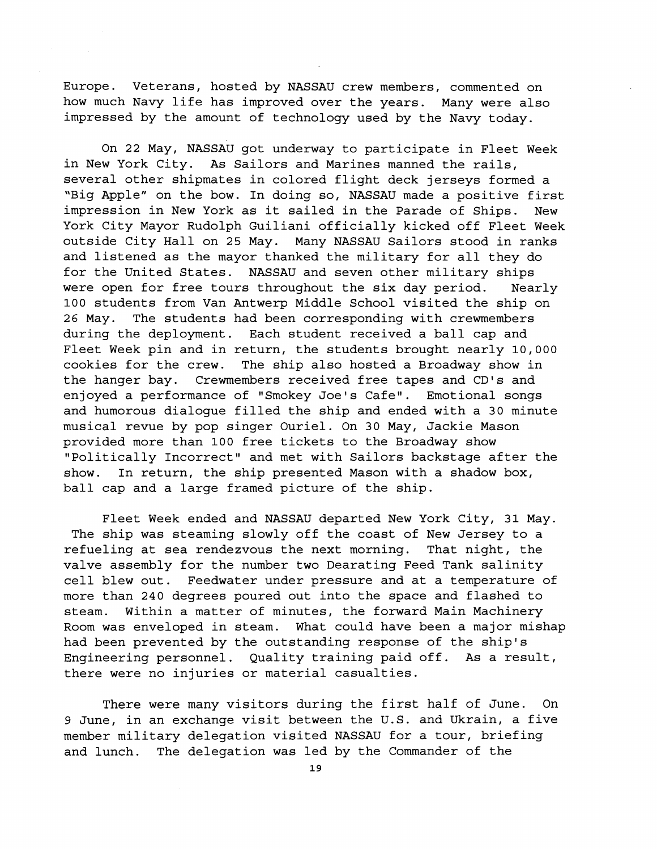Europe. Veterans, hosted by NASSAU crew members, commented on how much Navy life has improved over the years. Many were also impressed by the amount of technology used by the Navy today.

On 22 May, NASSAU got underway to participate in Fleet Week in New York City. As Sailors and Marines manned the rails, several other shipmates in colored flight deck jerseys formed a "Big Apple" on the bow. In doing so, NASSAU made a positive first impression in New York as it sailed in the Parade of Ships. New York City Mayor Rudolph Guiliani officially kicked off Fleet Week outside City Hall on 25 May. Many NASSAU Sailors stood in ranks and listened as the mayor thanked the military for all they do for the United States. NASSAU and seven other military ships were open for free tours throughout the six day period. Nearly 100 students from Van Antwerp Middle School visited the ship on 26 May. The students had been corresponding with crewmembers during the deployment. Each student received a ball cap and Fleet Week pin and in return, the students brought nearly 10,000 cookies for the crew. The ship also hosted a Broadway show in the hanger bay. Crewmembers received free tapes and CD's and enjoyed a performance of "Smokey Joe's Cafe". Emotional songs and humorous dialogue filled the ship and ended with a 30 minute musical revue by pop singer Ouriel. On 30 May, Jackie Mason provided more than 100 free tickets to the Broadway show "Politically Incorrect" and met with Sailors backstage after the show. In return, the ship presented Mason with a shadow box, ball cap and a large framed picture of the ship.

Fleet Week ended and NASSAU departed New York City, 31 May. The ship was steaming slowly off the coast of New Jersey to a refueling at sea rendezvous the next morning. That night, the valve assembly for the number two Dearating Feed Tank salinity cell blew out. Feedwater under pressure and at a temperature of more than 240 degrees poured out into the space and flashed to steam. Within a matter of minutes, the forward Main Machinery Room was enveloped in steam. What could have been a major mishap had been prevented by the outstanding response of the ship's Engineering personnel. Quality training paid off. As a result, there were no injuries or material casualties.

There were many visitors during the first half of June. On 9 June, in an exchange visit between the U.S. and Ukrain, a five member military delegation visited NASSAU for a tour, briefing and lunch. The delegation was led by the Commander of the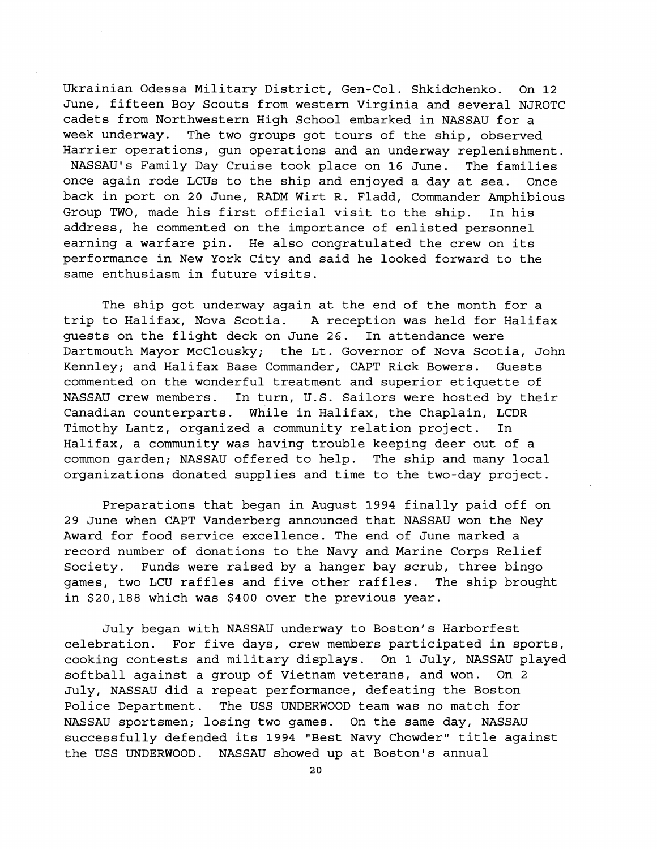Ukrainian Odessa Military District, Gen-Col. Shkidchenko. On 12 June, fifteen Boy Scouts from western Virginia and several NJROTC cadets from Northwestern High School embarked in NASSAU for a week underway. The two groups got tours of the ship, observed Harrier operations, gun operations and an underway replenishment. NASSAU'S Family Day Cruise took place on 16 June. The families once again rode LCUs to the ship and enjoyed a day at sea. Once back in port on 20 June, **RADM** Wirt R. Fladd, Commander Amphibious Group TWO, made his first official visit to the ship. In his address, he commented on the importance of enlisted personnel earning a warfare pin. He also congratulated the crew on its performance in New York City and said he looked forward to the same enthusiasm in future visits.

The ship got underway again at the end of the month for a trip to Halifax, Nova Scotia. A reception was held for Halifax guests on the flight deck on June 26. In attendance were Dartmouth Mayor McClousky; the Lt. Governor of Nova Scotia, John Kennley; and Halifax Base Commander, CAPT Rick Bowers. Guests commented on the wonderful treatment and superior etiquette of NASSAU crew members. In turn, U.S. Sailors were hosted by their Canadian counterparts. While in Halifax, the Chaplain, LCDR Timothy Lantz, organized a community relation project. In Halifax, a community was having trouble keeping deer out of a common garden; NASSAU offered to help. The ship and many local organizations donated supplies and time to the two-day project.

Preparations that began in August 1994 finally paid off on 29 June when CAPT Vanderberg announced that NASSAU won the Ney Award for food service excellence. The end of June marked a record number of donations to the Navy and Marine Corps Relief Society. Funds were raised by a hanger bay scrub, three bingo games, two LCU raffles and five other raffles. The ship brought in \$20,188 which was \$400 over the previous year.

July began with NASSAU underway to Boston's Harborfest celebration. For five days, crew members participated in sports, cooking contests and military displays. On 1 July, NASSAU played softball against a group of Vietnam veterans, and won. On 2 July, NASSAU did a repeat performance, defeating the Boston Police Department. The USS UNDERWOOD team was no match for NASSAU sportsmen; losing two games. On the same day, NASSAU successfully defended its 1994 "Best Navy Chowder" title against the USS UNDERWOOD. NASSAU showed up at Boston's annual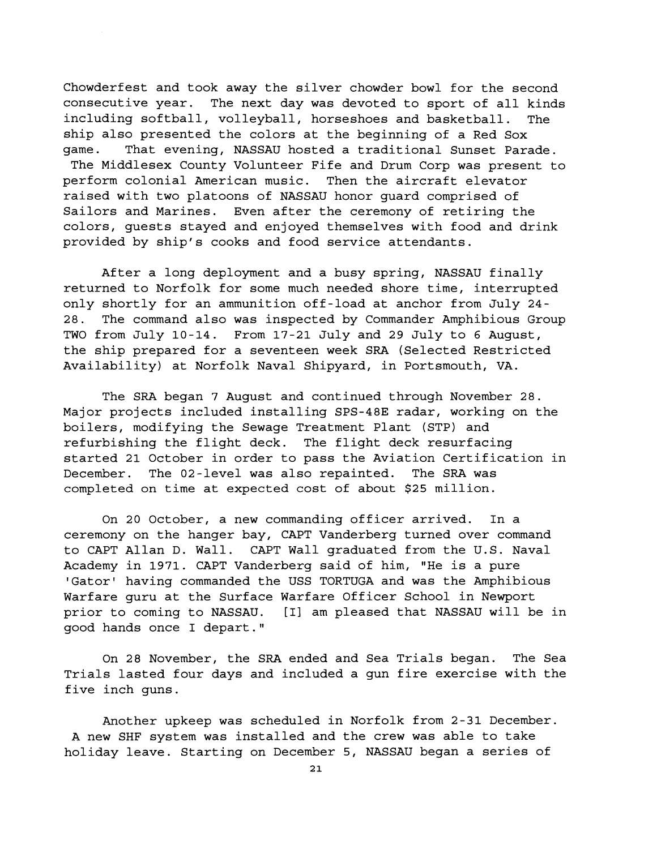Chowderfest and took away the silver chowder bowl for the second consecutive year. The next day was devoted to sport of all kinds including softball, volleyball, horseshoes and basketball. The ship also presented the colors at the beginning of a Red Sox game. That evening, NASSAU hosted a traditional Sunset Parade. The Middlesex County Volunteer Fife and Drum Corp was present to perform colonial American music. Then the aircraft elevator raised with two platoons of NASSAU honor guard comprised of Sailors and Marines. Even after the ceremony of retiring the colors, guests stayed and enjoyed themselves with food and drink provided by ship's cooks and food service attendants.

After a long deployment and a busy spring, NASSAU finally returned to Norfolk for some much needed shore time, interrupted only shortly for an ammunition off-load at anchor from July 24- 28. The command also was inspected by Commander Amphibious Group TWO from July 10-14. From 17-21 July and 29 July to 6 August, the ship prepared for a seventeen week SRA (Selected Restricted Availability) at Norfolk Naval Shipyard, in Portsmouth, VA.

The SRA began 7 August and continued through November 28. Major projects included installing SPS-48E radar, working on the boilers, modifying the Sewage Treatment Plant (STP) and refurbishing the flight deck. The flight deck resurfacing started 21 October in order to pass the Aviation Certification in December. The 02-level was also repainted. The SRA was completed on time at expected cost of about \$25 million.

On 20 October, a new commanding officer arrived. In a ceremony on the hanger bay, CAPT Vanderberg turned over command to CAPT Allan D. Wall. CAPT Wall graduated from the U.S. Naval Academy in 1971. CAPT Vanderberg said of him, "He is a pure 'Gator' having commanded the USS TORTUGA and was the Amphibious Warfare guru at the Surface Warfare Officer School in Newport prior to coming to NASSAU. [I] am pleased that NASSAU will be in good hands once I depart."

On 28 November, the SRA ended and Sea Trials began. The Sea Trials lasted four days and included a gun fire exercise with the five inch guns.

Another upkeep was scheduled in Norfolk from 2-31 December. A new SHF system was installed and the crew was able to take holiday leave. Starting on December 5, NASSAU began a series of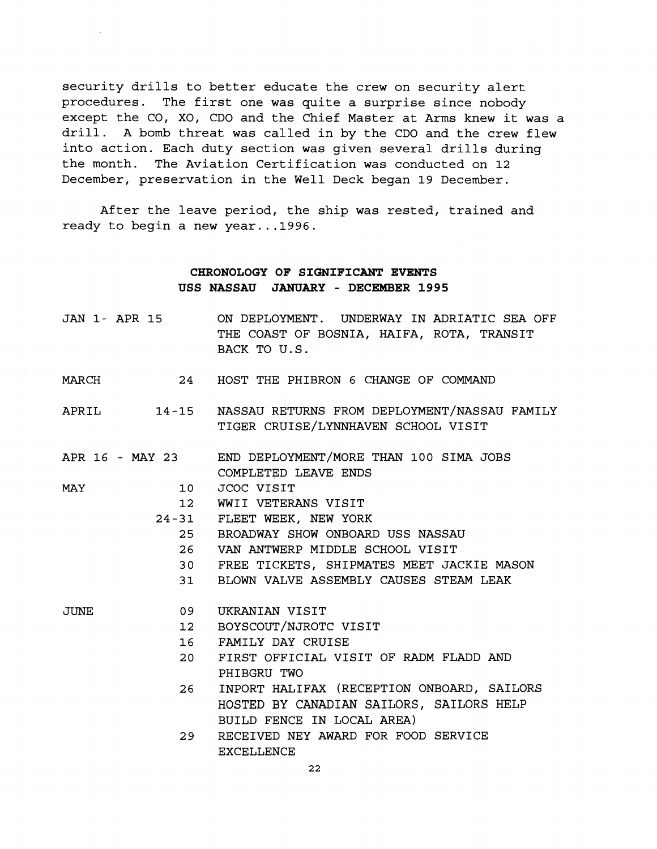security drills to better educate the crew on security alert procedures. The first one was quite a surprise since nobody except the CO, XO, CDO and the Chief Master at Arms knew it was a drill. A bomb threat was called in by the CDO and the crew flew into action. Each duty section was given several drills during the month. The Aviation certification was conducted on 12 December, preservation in the Well Deck began 19 December.

After the leave period, the ship was rested, trained and ready to begin a new year...1996.

## **CHRONOLOGY OF SIGNIFICANT EVENTS USS NASSAU JANUARY** - **DECEMBER 1995**

|       |    | JAN 1- APR 15 ON DEPLOYMENT. UNDERWAY IN ADRIATIC SEA OFF<br>THE COAST OF BOSNIA, HAIFA, ROTA, TRANSIT<br>BACK TO U.S. |
|-------|----|------------------------------------------------------------------------------------------------------------------------|
| MARCH |    | 24 HOST THE PHIBRON 6 CHANGE OF COMMAND                                                                                |
|       |    | APRIL 14-15 NASSAU RETURNS FROM DEPLOYMENT/NASSAU FAMILY<br>TIGER CRUISE/LYNNHAVEN SCHOOL VISIT                        |
|       |    | APR 16 - MAY 23 END DEPLOYMENT/MORE THAN 100 SIMA JOBS<br>COMPLETED LEAVE ENDS                                         |
| MAY   |    | 10 JCOC VISIT                                                                                                          |
|       |    | 12 WWII VETERANS VISIT                                                                                                 |
|       |    | 24-31 FLEET WEEK, NEW YORK                                                                                             |
|       |    | 25 BROADWAY SHOW ONBOARD USS NASSAU                                                                                    |
|       |    | 26 VAN ANTWERP MIDDLE SCHOOL VISIT                                                                                     |
|       |    | 30 FREE TICKETS, SHIPMATES MEET JACKIE MASON                                                                           |
|       | 31 | BLOWN VALVE ASSEMBLY CAUSES STEAM LEAK                                                                                 |
| JUNE  | 09 | UKRANIAN VISIT                                                                                                         |
|       |    | 12 BOYSCOUT/NJROTC VISIT                                                                                               |
|       |    | 16 FAMILY DAY CRUISE                                                                                                   |
|       | 20 | FIRST OFFICIAL VISIT OF RADM FLADD AND                                                                                 |
|       |    | PHIBGRU TWO                                                                                                            |

- 26 INPORT HALIFAX (RECEPTION ONBOARD, SAILORS HOSTED BY CANADIAN SAILORS, SAILORS HELP BUILD FENCE IN LOCAL AREA)
- 29 RECEIVED NEY AWARD FOR FOOD SERVICE EXCELLENCE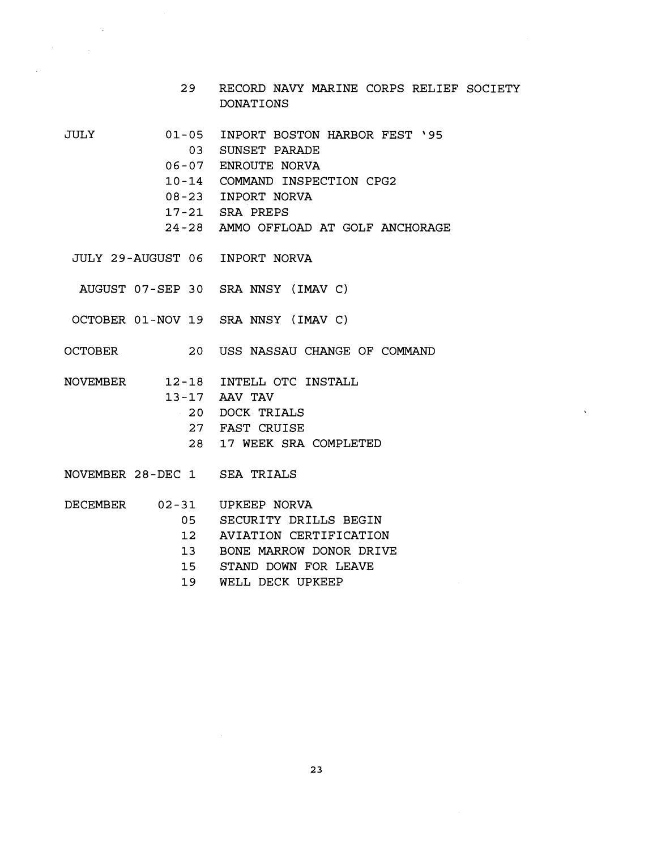- 29 RECORD NAVY MARINE CORPS RELIEF SOCIETY DONAT IONS
- JULY
- 01-05 INPORT BOSTON HARBOR FEST '95
	- 03 SUNSET PARADE
	- 06-07 ENROUTE NORVA
	- 10-14 COMMAND INSPECTION CPG2
	- 08-23 INPORT NORVA
	- 17-21 SRA PREPS
	- 24-28 AMMO OFFLOAD AT GOLF ANCHORAGE
- JULY 29-AUGUST 06 INPORT NORVA
- AUGUST 07-SEP 30 SRA NNSY (IMAv C)
- OCTOBER 01-NOV 19 SRA NNSY (IMAV C)
- OCTOBER 20 USS NASSAU CHANGE OF COMMAND
- NOVEMBER 12-18 INTELL OTC INSTALL 13-17 AAV TAV 20 DOCK TRIALS 27 FAST CRUISE 28 17 WEEK SRA COMPLETED
- NOVEMBER 28-DEC 1 SEA TRIALS
- 
- DECEMBER 02-31 UPKEEP NORVA
	- 05 SECURITY DRILLS BEGIN
	- 12 AVIATION CERTIFICATION
	- 13 BONE MARROW DONOR DRIVE
	- 15 STAND DOWN FOR LEAVE
	- 19 WELL DECK UPKEEP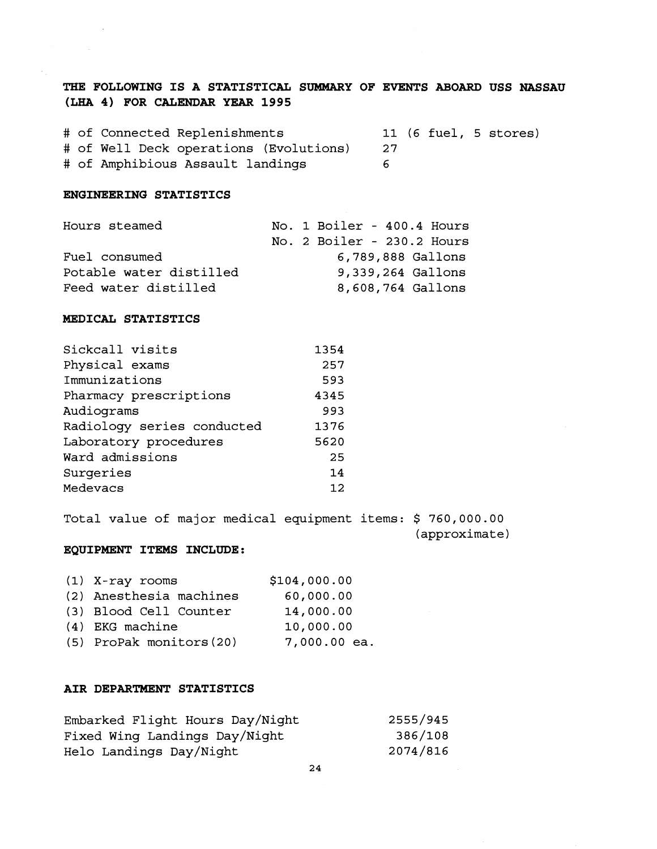# **THE FOLLOWING IS A STATISTICAL SUMMARY OF EVENTS ABOARD USS NASSAU (LHA 4) FOR CALENDAR YEAR 1995**

# of Connected Replenishments 11 (6 fuel, 5 stores) # of Well Deck operations (Evolutions) 27 # of Amphibious Assault landings 6

#### **ENGINEERING STATISTICS**

 $\sim$ 

| Hours steamed           | No. 1 Boiler - 400.4 Hours |
|-------------------------|----------------------------|
|                         | No. 2 Boiler - 230.2 Hours |
| Fuel consumed           | 6,789,888 Gallons          |
| Potable water distilled | 9,339,264 Gallons          |
| Feed water distilled    | 8,608,764 Gallons          |

#### **MEDICAL STATISTICS**

| 1354 |
|------|
| 257  |
| 593  |
| 4345 |
| 993  |
| 1376 |
| 5620 |
| 25   |
| 14   |
| 12   |
|      |

Total value of major medical equipment items: \$ 760,000.00 (approximate)

### **EQUIPMENT ITEMS INCLUDE:**

| $(1)$ X-ray rooms        | \$104,000.00   |
|--------------------------|----------------|
| (2) Anesthesia machines  | 60,000.00      |
| (3) Blood Cell Counter   | 14,000.00      |
| $(4)$ EKG machine        | 10,000.00      |
| (5) ProPak monitors (20) | $7,000.00$ ea. |

#### **AIR DEPARTMENT STATISTICS**

| Embarked Flight Hours Day/Night | 2555/945 |
|---------------------------------|----------|
| Fixed Wing Landings Day/Night   | 386/108  |
| Helo Landings Day/Night         | 2074/816 |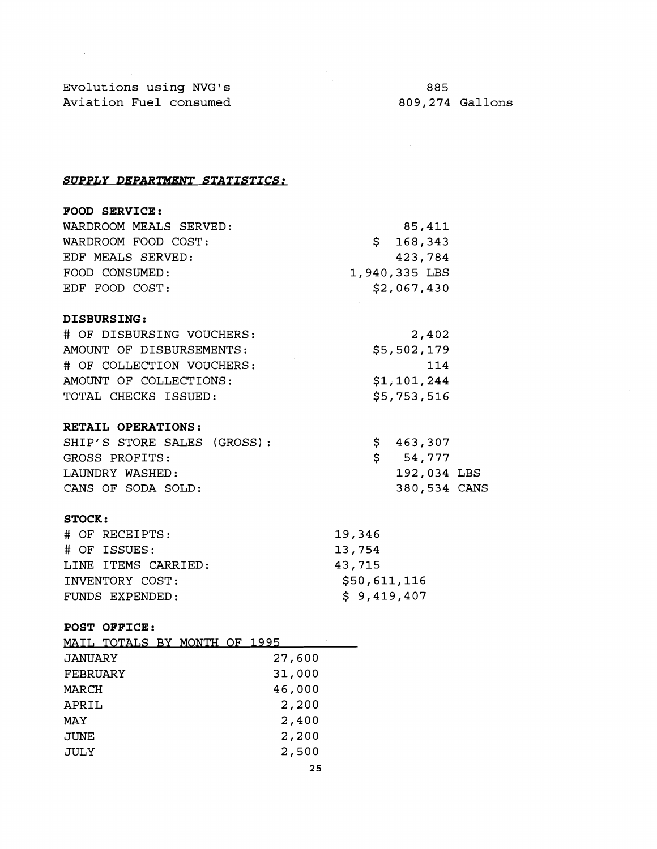Evolutions using NVG1s Aviation Fuel consumed

 $\sim 10^7$ 

885 809,274 Gallons

SUPPLY DEPARTMENT STATISTICS:

| <b>FOOD SERVICE:</b>        |               |
|-----------------------------|---------------|
| WARDROOM MEALS SERVED:      | 85,411        |
| WARDROOM FOOD COST:         | \$168,343     |
| EDF MEALS SERVED:           | 423,784       |
| FOOD CONSUMED:              | 1,940,335 LBS |
| EDF FOOD COST:              | \$2,067,430   |
| <b>DISBURSING:</b>          |               |
| # OF DISBURSING VOUCHERS:   | 2,402         |
| AMOUNT OF DISBURSEMENTS:    | \$5,502,179   |
| # OF COLLECTION VOUCHERS:   | 114           |
| AMOUNT OF COLLECTIONS:      | \$1,101,244   |
| TOTAL CHECKS ISSUED:        | \$5,753,516   |
| RETAIL OPERATIONS:          |               |
| SHIP'S STORE SALES (GROSS): | \$<br>463,307 |
| GROSS PROFITS.              | Ś<br>54.777   |

| GROSS PROFITS:     | S 54,777     |  |
|--------------------|--------------|--|
| LAUNDRY WASHED:    | 192,034 LBS  |  |
| CANS OF SODA SOLD: | 380,534 CANS |  |

## **STOCK** :

| # OF RECEIPTS:      | 19,346       |
|---------------------|--------------|
| # OF ISSUES:        | 13,754       |
| LINE ITEMS CARRIED: | 43,715       |
| INVENTORY COST:     | \$50,611,116 |
| FUNDS EXPENDED:     | \$9,419,407  |

## **POST OFFICE:**

|          | MAIL TOTALS BY MONTH OF 1995 |
|----------|------------------------------|
| JANUARY  | 27,600                       |
| FEBRUARY | 31,000                       |
| MARCH    | 46,000                       |
| APRIL    | 2,200                        |
| MAY      | 2,400                        |
| JUNE     | 2,200                        |
| JULY     | 2,500                        |
|          | 25                           |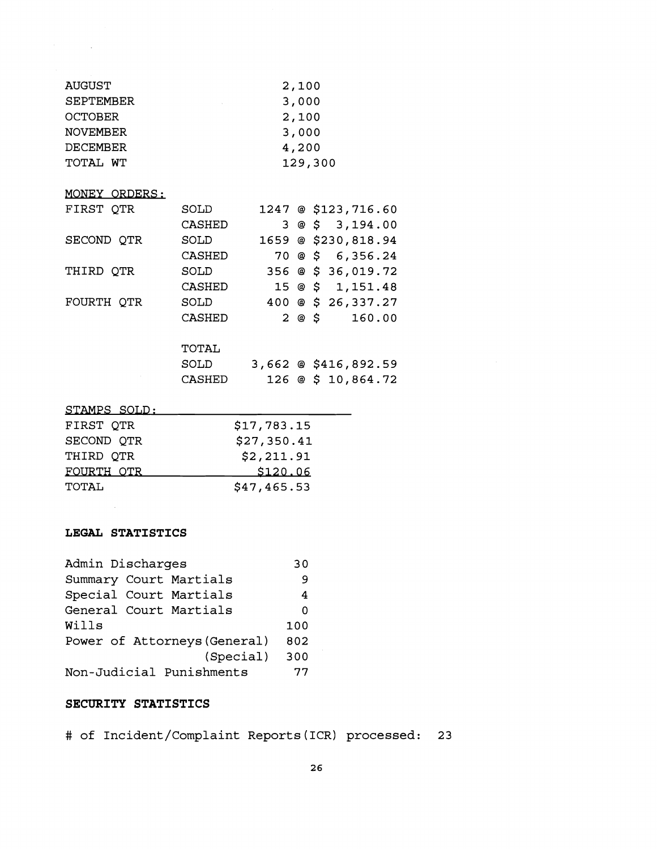| AUGUST          |         |             | 2,100 |                               |  |
|-----------------|---------|-------------|-------|-------------------------------|--|
| SEPTEMBER       |         | 3,000       |       |                               |  |
| <b>OCTOBER</b>  |         | 2,100       |       |                               |  |
| <b>NOVEMBER</b> |         |             | 3,000 |                               |  |
| <b>DECEMBER</b> |         |             | 4,200 |                               |  |
| TOTAL WT        | 129,300 |             |       |                               |  |
| MONEY ORDERS:   |         |             |       |                               |  |
| FIRST QTR       | SOLD    |             |       | 1247 @ \$123,716.60           |  |
|                 | CASHED  | 3           |       | @53,194.00                    |  |
| SECOND QTR      | SOLD    |             |       | 1659 @ \$230,818.94           |  |
|                 | CASHED  | 70.         |       | @\$56,356.24                  |  |
| THIRD QTR       | SOLD    |             |       | 356 @ \$ 36,019.72            |  |
|                 | CASHED  |             |       | $15 \circledcirc$ \$ 1,151.48 |  |
| FOURTH QTR      | SOLD    |             |       | 400 @ \$ 26,337.27            |  |
|                 | CASHED  | $2^{\circ}$ |       | @ \$<br>160.00                |  |
|                 | TOTAL   |             |       |                               |  |
|                 | SOLD    |             |       | 3,662 @ \$416,892.59          |  |
|                 | CASHED  |             |       | 126 @ \$ 10,864.72            |  |
|                 |         |             |       |                               |  |

### STAMPS SOLD:

 $\mathcal{F}^{\text{max}}_{\text{max}}$  and  $\mathcal{F}^{\text{max}}_{\text{max}}$ 

| FIRST OTR  | \$17,783.15 |
|------------|-------------|
| SECOND OTR | \$27,350.41 |
| THIRD OTR  | \$2,211.91  |
| FOURTH OTR | \$120.06    |
| TOTAL      | \$47,465.53 |

## **LEGAL STATISTICS**

 $\sim 10^{-11}$ 

| Admin Discharges             | 30  |
|------------------------------|-----|
| Summary Court Martials       | 9   |
| Special Court Martials       | 4   |
| General Court Martials       | Ω   |
| Wills                        | 100 |
| Power of Attorneys (General) | 802 |
| (Special)                    | 300 |
| Non-Judicial Punishments     | 77  |

## **SECURITY STATISTICS**

# of Incident/Complaint Reports(1CR) processed: **23**